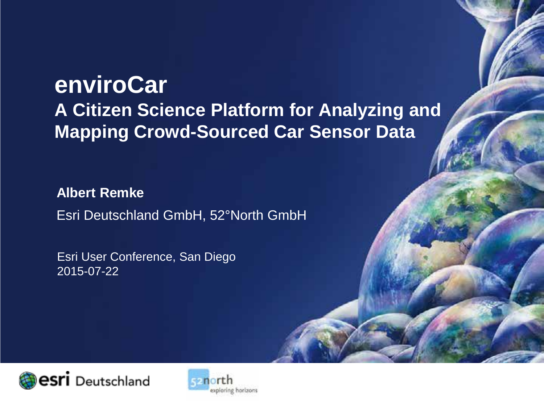# **enviroCar A Citizen Science Platform for Analyzing and Mapping Crowd-Sourced Car Sensor Data**

**Albert Remke** Esri Deutschland GmbH, 52°North GmbH

Esri User Conference, San Diego 2015-07-22



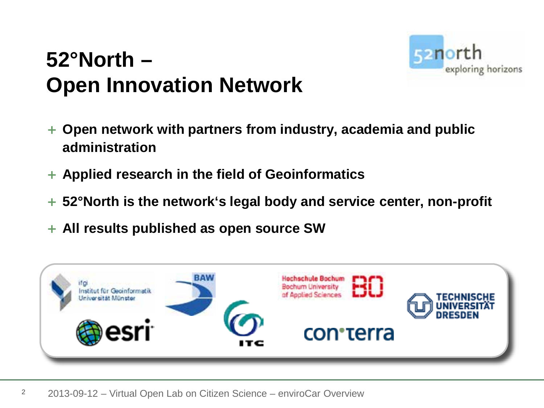

# **52°North – Open Innovation Network**

- + **Open network with partners from industry, academia and public administration**
- + **Applied research in the field of Geoinformatics**
- + **52°North is the network's legal body and service center, non-profit**
- + **All results published as open source SW**

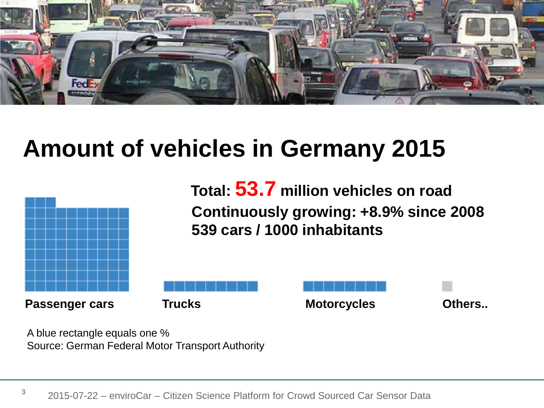

# **Amount of vehicles in Germany 2015**



**Continuously growing: +8.9% since 2008 539 cars / 1000 inhabitants Total: 53.7 million vehicles on road**



A blue rectangle equals one % Source: German Federal Motor Transport Authority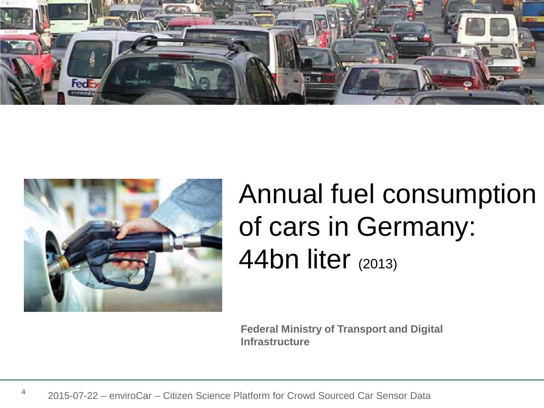



# Annual fuel consumption of cars in Germany: 44bn liter (2013)

**Federal Ministry of Transport and Digital Infrastructure**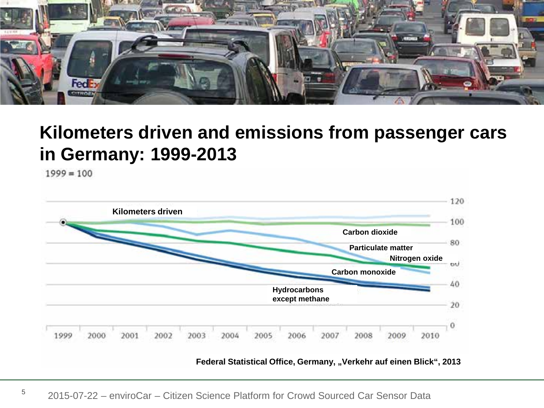

## **Kilometers driven and emissions from passenger cars in Germany: 1999-2013**

 $1999 = 100$ 



Federal Statistical Office, Germany, "Verkehr auf einen Blick", 2013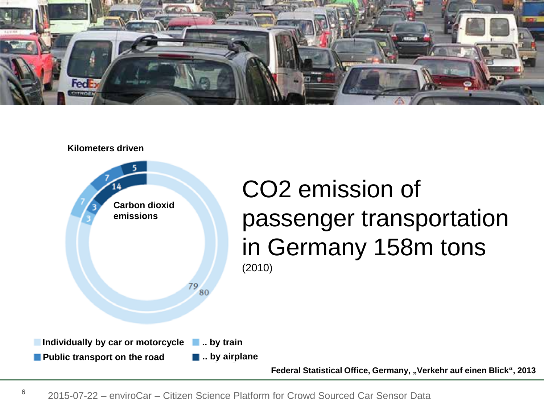





# CO2 emission of passenger transportation in Germany 158m tons

**Federal Statistical Office, Germany, "Verkehr auf einen Blick", 2013**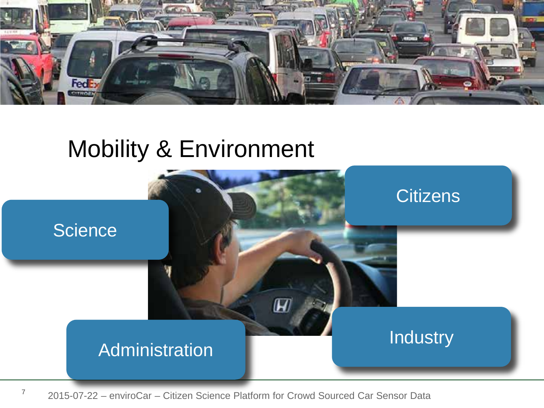

# Mobility & Environment



<sup>7</sup> 2015-07-22 – enviroCar – Citizen Science Platform for Crowd Sourced Car Sensor Data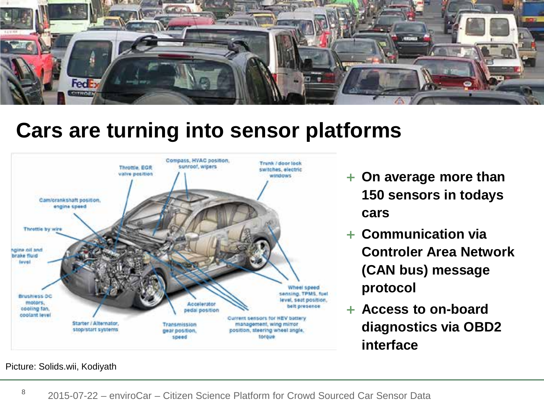

## **Cars are turning into sensor platforms**



- + **On average more than 150 sensors in todays cars**
- + **Communication via Controler Area Network (CAN bus) message protocol**
- + **Access to on-board diagnostics via OBD2 interface**

Picture: Solids.wii, Kodiyath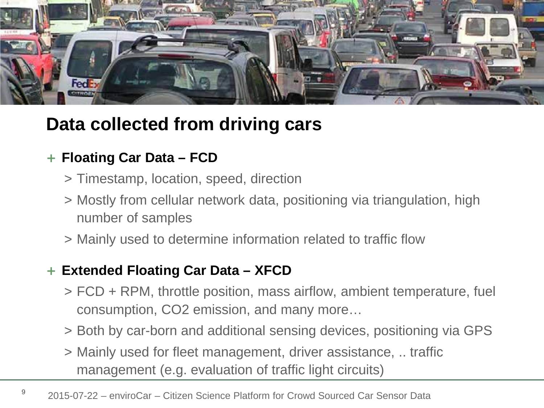

## **Data collected from driving cars**

#### + **Floating Car Data – FCD**

- > Timestamp, location, speed, direction
- > Mostly from cellular network data, positioning via triangulation, high number of samples
- > Mainly used to determine information related to traffic flow

#### + **Extended Floating Car Data – XFCD**

- > FCD + RPM, throttle position, mass airflow, ambient temperature, fuel consumption, CO2 emission, and many more…
- > Both by car-born and additional sensing devices, positioning via GPS
- > Mainly used for fleet management, driver assistance, .. traffic management (e.g. evaluation of traffic light circuits)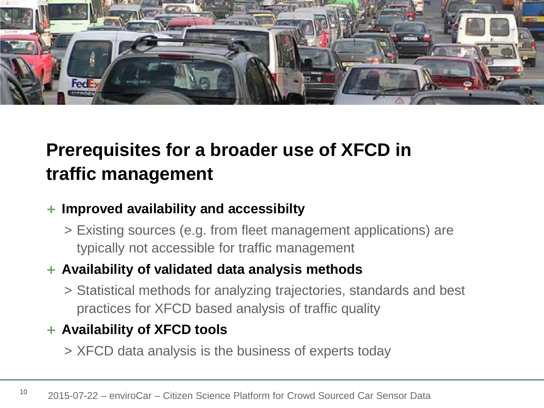

## **Prerequisites for a broader use of XFCD in traffic management**

#### + **Improved availability and accessibilty**

> Existing sources (e.g. from fleet management applications) are typically not accessible for traffic management

#### + **Availability of validated data analysis methods**

> Statistical methods for analyzing trajectories, standards and best practices for XFCD based analysis of traffic quality

#### + **Availability of XFCD tools**

> XFCD data analysis is the business of experts today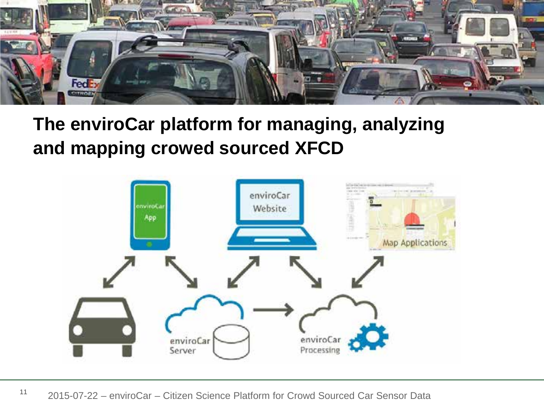![](_page_10_Picture_0.jpeg)

## **The enviroCar platform for managing, analyzing and mapping crowed sourced XFCD**

![](_page_10_Figure_2.jpeg)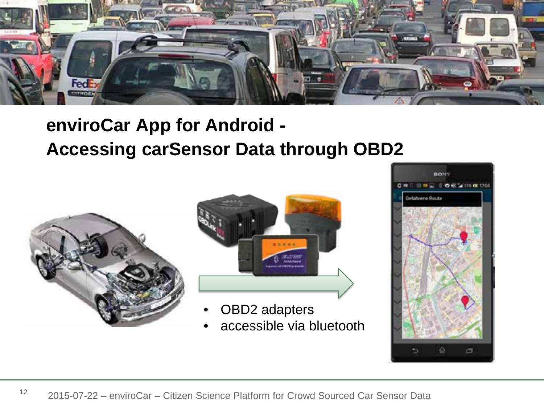![](_page_11_Picture_0.jpeg)

## **enviroCar App for Android - Accessing carSensor Data through OBD2**

![](_page_11_Picture_2.jpeg)

![](_page_11_Picture_3.jpeg)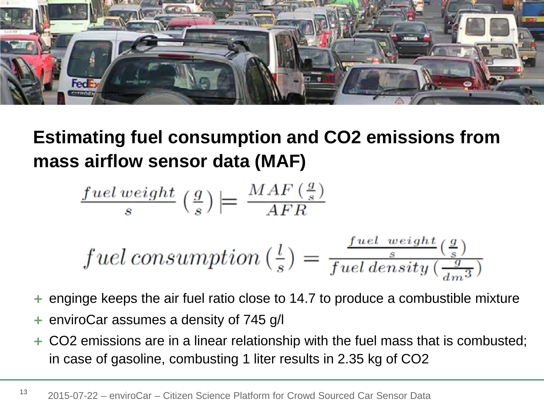![](_page_12_Picture_0.jpeg)

## **Estimating fuel consumption and CO2 emissions from mass airflow sensor data (MAF)**

$$
\frac{fuel\,weight}{s}\left(\frac{g}{s}\right) \left| = \frac{MAF\left(\frac{g}{s}\right)}{AFR} \right|
$$

$$
fuel\ consumption\left(\frac{l}{s}\right) = \frac{\frac{fuel\ weight\left(\frac{g}{s}\right)}{s}}{fuel\ density\left(\frac{g}{dm^3}\right)}
$$

- enginge keeps the air fuel ratio close to 14.7 to produce a combustible mixture
- enviroCar assumes a density of 745 g/l
- + CO2 emissions are in a linear relationship with the fuel mass that is combusted; in case of gasoline, combusting 1 liter results in 2.35 kg of CO2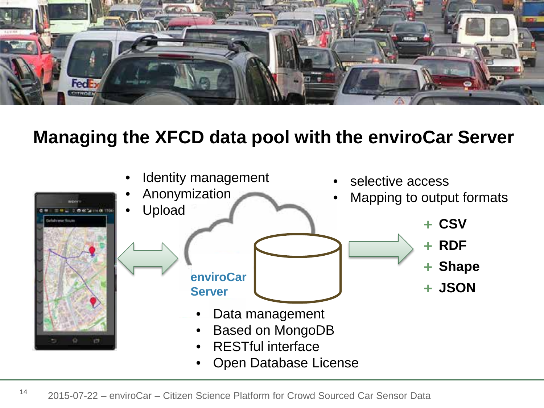![](_page_13_Picture_0.jpeg)

## **Managing the XFCD data pool with the enviroCar Server**

![](_page_13_Figure_2.jpeg)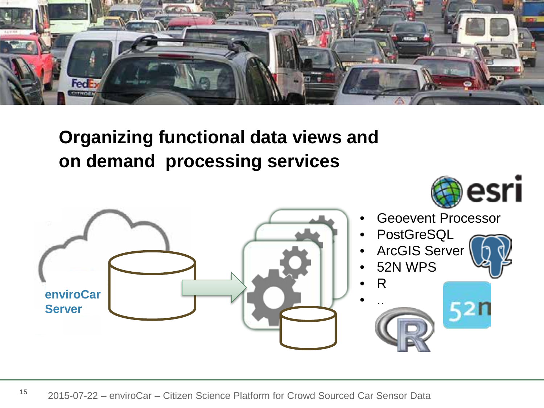![](_page_14_Picture_0.jpeg)

## **Organizing functional data views and on demand processing services**

![](_page_14_Figure_2.jpeg)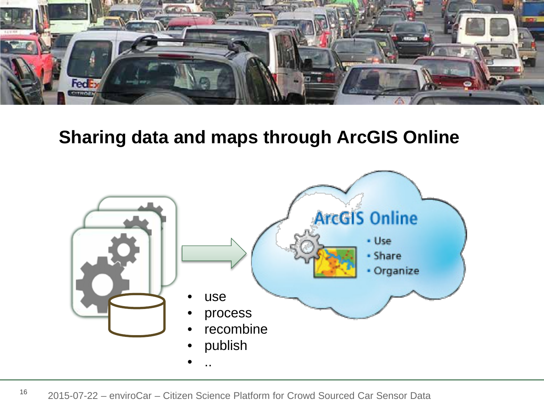![](_page_15_Picture_0.jpeg)

### **Sharing data and maps through ArcGIS Online**

![](_page_15_Figure_2.jpeg)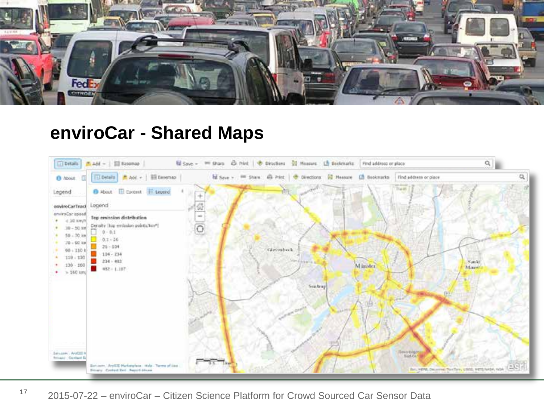![](_page_16_Picture_0.jpeg)

### **enviroCar - Shared Maps**

![](_page_16_Figure_2.jpeg)

<sup>17</sup> 2015-07-22 – enviroCar – Citizen Science Platform for Crowd Sourced Car Sensor Data